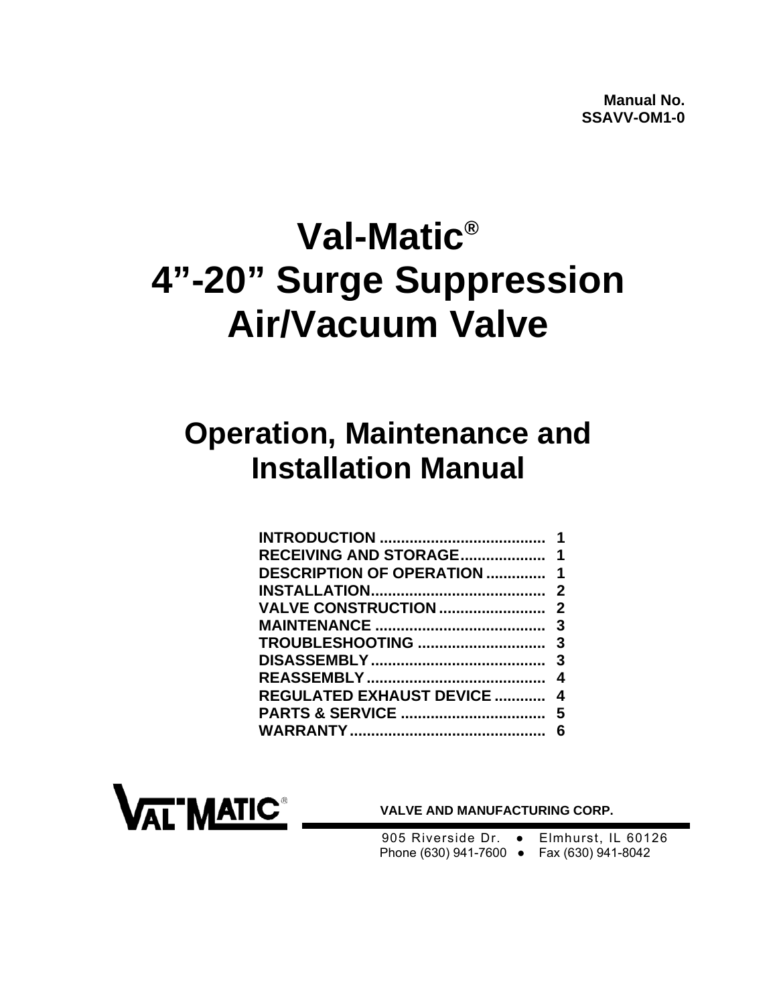# **Val-Matic® 4"-20" Surge Suppression Air/Vacuum Valve**

## **Operation, Maintenance and Installation Manual**

|                                    | 1 |
|------------------------------------|---|
|                                    |   |
| <b>DESCRIPTION OF OPERATION  1</b> |   |
|                                    |   |
|                                    |   |
|                                    |   |
|                                    |   |
|                                    |   |
|                                    |   |
| <b>REGULATED EXHAUST DEVICE  4</b> |   |
|                                    |   |
|                                    |   |



 **VALVE AND MANUFACTURING CORP.** 

905 Riverside Dr. • Elmhurst, IL 60126 Phone (630) 941-7600 ● Fax (630) 941-8042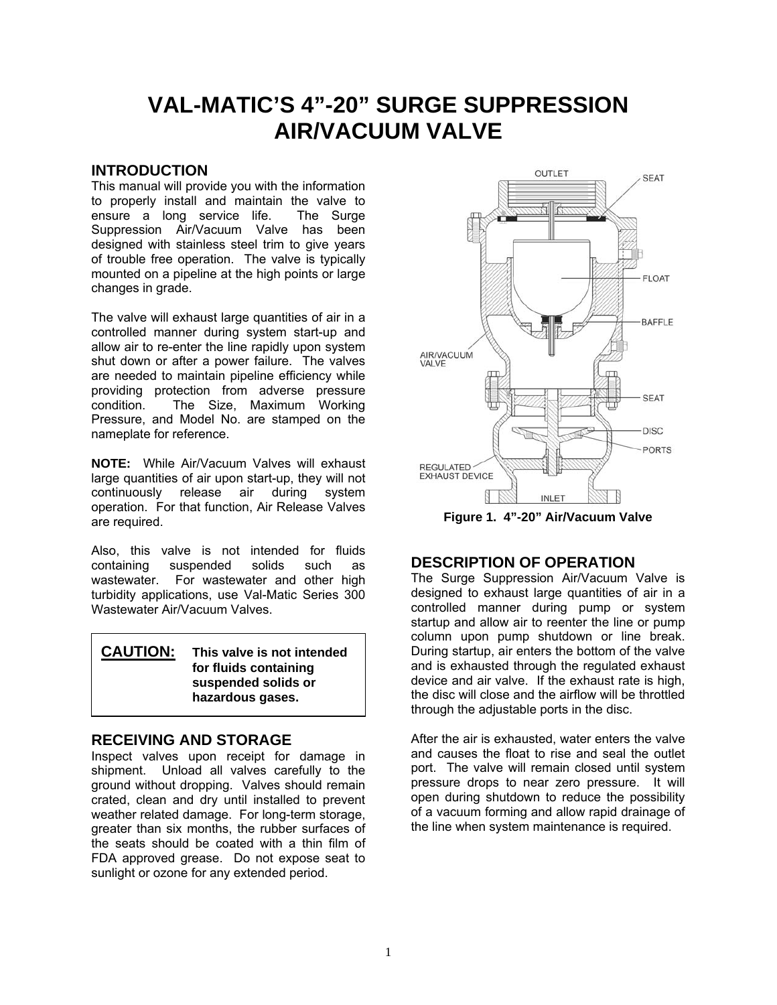### <span id="page-1-0"></span>**VAL-MATIC'S 4"-20" SURGE SUPPRESSION AIR/VACUUM VALVE**

#### **INTRODUCTION**

This manual will provide you with the information to properly install and maintain the valve to ensure a long service life. The Surge Suppression Air/Vacuum Valve has been designed with stainless steel trim to give years of trouble free operation. The valve is typically mounted on a pipeline at the high points or large changes in grade.

The valve will exhaust large quantities of air in a controlled manner during system start-up and allow air to re-enter the line rapidly upon system shut down or after a power failure. The valves are needed to maintain pipeline efficiency while providing protection from adverse pressure condition. The Size, Maximum Working Pressure, and Model No. are stamped on the nameplate for reference.

**NOTE:** While Air/Vacuum Valves will exhaust large quantities of air upon start-up, they will not continuously release air during system operation. For that function, Air Release Valves are required.

Also, this valve is not intended for fluids containing suspended solids such as wastewater. For wastewater and other high turbidity applications, use Val-Matic Series 300 Wastewater Air/Vacuum Valves.

| <b>CAUTION:</b> | This valve is not intended |
|-----------------|----------------------------|
|                 | for fluids containing      |
|                 | suspended solids or        |
|                 | hazardous gases.           |

#### **RECEIVING AND STORAGE**

Inspect valves upon receipt for damage in shipment. Unload all valves carefully to the ground without dropping. Valves should remain crated, clean and dry until installed to prevent weather related damage. For long-term storage, greater than six months, the rubber surfaces of the seats should be coated with a thin film of FDA approved grease. Do not expose seat to sunlight or ozone for any extended period.



**Figure 1. 4"-20" Air/Vacuum Valve** 

#### **DESCRIPTION OF OPERATION**

The Surge Suppression Air/Vacuum Valve is designed to exhaust large quantities of air in a controlled manner during pump or system startup and allow air to reenter the line or pump column upon pump shutdown or line break. During startup, air enters the bottom of the valve and is exhausted through the regulated exhaust device and air valve. If the exhaust rate is high, the disc will close and the airflow will be throttled through the adjustable ports in the disc.

After the air is exhausted, water enters the valve and causes the float to rise and seal the outlet port. The valve will remain closed until system pressure drops to near zero pressure. It will open during shutdown to reduce the possibility of a vacuum forming and allow rapid drainage of the line when system maintenance is required.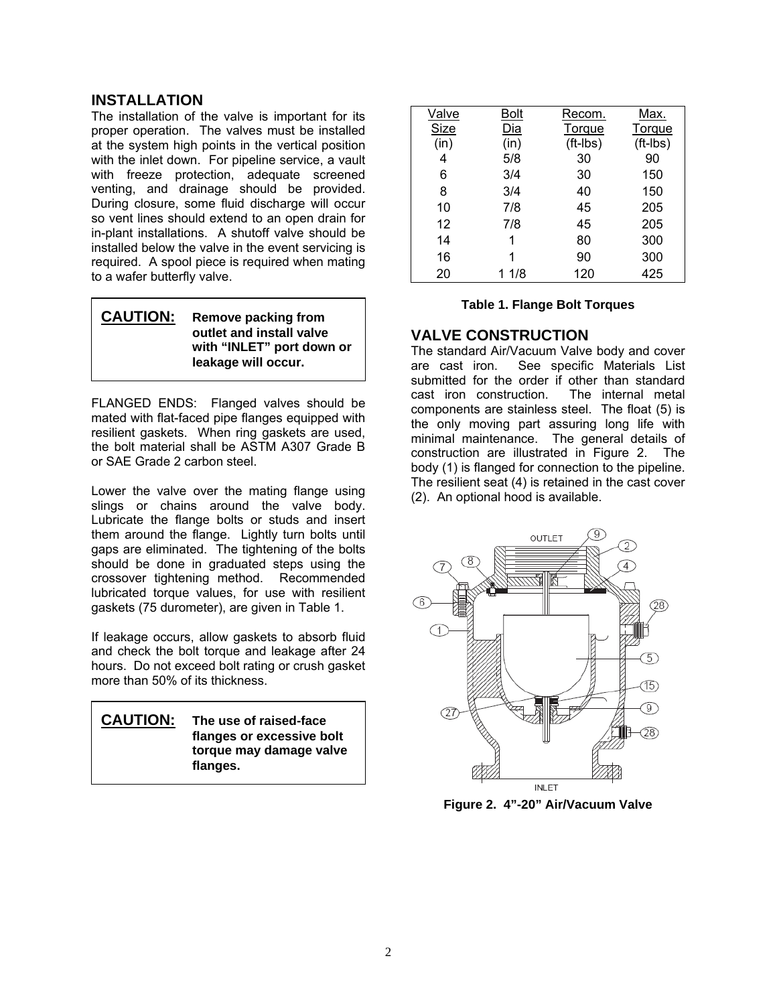#### <span id="page-2-0"></span>**INSTALLATION**

The installation of the valve is important for its proper operation. The valves must be installed at the system high points in the vertical position with the inlet down. For pipeline service, a vault with freeze protection, adequate screened venting, and drainage should be provided. During closure, some fluid discharge will occur so vent lines should extend to an open drain for in-plant installations. A shutoff valve should be installed below the valve in the event servicing is required. A spool piece is required when mating to a wafer butterfly valve.

| <b>CAUTION:</b> | <b>Remove packing from</b><br>outlet and install valve<br>with "INLET" port down or<br>leakage will occur. |
|-----------------|------------------------------------------------------------------------------------------------------------|
|                 |                                                                                                            |

FLANGED ENDS: Flanged valves should be mated with flat-faced pipe flanges equipped with resilient gaskets. When ring gaskets are used, the bolt material shall be ASTM A307 Grade B or SAE Grade 2 carbon steel.

Lower the valve over the mating flange using slings or chains around the valve body. Lubricate the flange bolts or studs and insert them around the flange. Lightly turn bolts until gaps are eliminated. The tightening of the bolts should be done in graduated steps using the crossover tightening method. Recommended lubricated torque values, for use with resilient gaskets (75 durometer), are given in Table 1.

If leakage occurs, allow gaskets to absorb fluid and check the bolt torque and leakage after 24 hours. Do not exceed bolt rating or crush gasket more than 50% of its thickness.



| <b>Valve</b> | <u>Bolt</u> | Recom.     | <u>Max.</u> |
|--------------|-------------|------------|-------------|
| Size         | Dia         | Torque     | Torque      |
| (in)         | (in)        | $(ft-lbs)$ | $(ft-lbs)$  |
| 4            | 5/8         | 30         | 90          |
| 6            | 3/4         | 30         | 150         |
| 8            | 3/4         | 40         | 150         |
| 10           | 7/8         | 45         | 205         |
| 12           | 7/8         | 45         | 205         |
| 14           | 1           | 80         | 300         |
| 16           |             | 90         | 300         |
| 20           | 1 1/8       | 120        | 425         |

#### **Table 1. Flange Bolt Torques**

#### **VALVE CONSTRUCTION**

The standard Air/Vacuum Valve body and cover are cast iron. See specific Materials List submitted for the order if other than standard cast iron construction. The internal metal components are stainless steel. The float (5) is the only moving part assuring long life with minimal maintenance. The general details of construction are illustrated in Figure 2. The body (1) is flanged for connection to the pipeline. The resilient seat (4) is retained in the cast cover (2). An optional hood is available.



**Figure 2. 4"-20" Air/Vacuum Valve**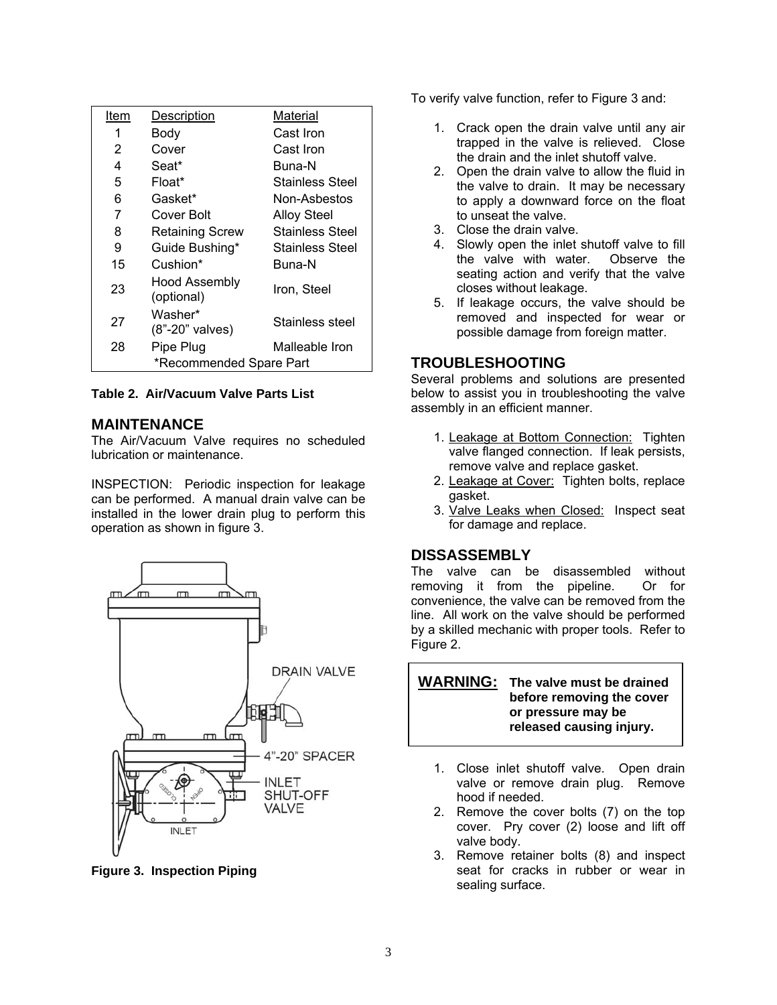<span id="page-3-0"></span>

| Item                    | Description                        | Material               |
|-------------------------|------------------------------------|------------------------|
| 1                       | Body                               | Cast Iron              |
| 2                       | Cover                              | Cast Iron              |
| 4                       | Seat*                              | Buna-N                 |
| 5                       | Float*                             | Stainless Steel        |
| 6                       | Gasket*                            | Non-Asbestos           |
| 7                       | Cover Bolt                         | <b>Alloy Steel</b>     |
| 8                       | Retaining Screw                    | <b>Stainless Steel</b> |
| 9                       | Guide Bushing*                     | Stainless Steel        |
| 15                      | Cushion*                           | Buna-N                 |
| 23                      | <b>Hood Assembly</b><br>(optional) | Iron. Steel            |
| 27                      | Washer*<br>(8"-20" valves)         | Stainless steel        |
| 28                      | Pipe Plug                          | Malleable Iron         |
| *Recommended Spare Part |                                    |                        |

**Table 2. Air/Vacuum Valve Parts List** 

#### **MAINTENANCE**

The Air/Vacuum Valve requires no scheduled lubrication or maintenance.

INSPECTION: Periodic inspection for leakage can be performed. A manual drain valve can be installed in the lower drain plug to perform this operation as shown in figure 3.



**Figure 3. Inspection Piping** 

To verify valve function, refer to Figure 3 and:

- 1. Crack open the drain valve until any air trapped in the valve is relieved. Close the drain and the inlet shutoff valve.
- 2. Open the drain valve to allow the fluid in the valve to drain. It may be necessary to apply a downward force on the float to unseat the valve.
- 3. Close the drain valve.
- 4. Slowly open the inlet shutoff valve to fill the valve with water. Observe the seating action and verify that the valve closes without leakage.
- 5. If leakage occurs, the valve should be removed and inspected for wear or possible damage from foreign matter.

#### **TROUBLESHOOTING**

Several problems and solutions are presented below to assist you in troubleshooting the valve assembly in an efficient manner.

- 1. Leakage at Bottom Connection: Tighten valve flanged connection. If leak persists, remove valve and replace gasket.
- 2. Leakage at Cover: Tighten bolts, replace gasket.
- 3. Valve Leaks when Closed: Inspect seat for damage and replace.

#### **DISSASSEMBLY**

The valve can be disassembled without removing it from the pipeline. Or for convenience, the valve can be removed from the line. All work on the valve should be performed by a skilled mechanic with proper tools. Refer to Figure 2.

**WARNING: The valve must be drained before removing the cover or pressure may be released causing injury.**

- 1. Close inlet shutoff valve. Open drain valve or remove drain plug. Remove hood if needed.
- 2. Remove the cover bolts (7) on the top cover. Pry cover (2) loose and lift off valve body.
- 3. Remove retainer bolts (8) and inspect seat for cracks in rubber or wear in sealing surface.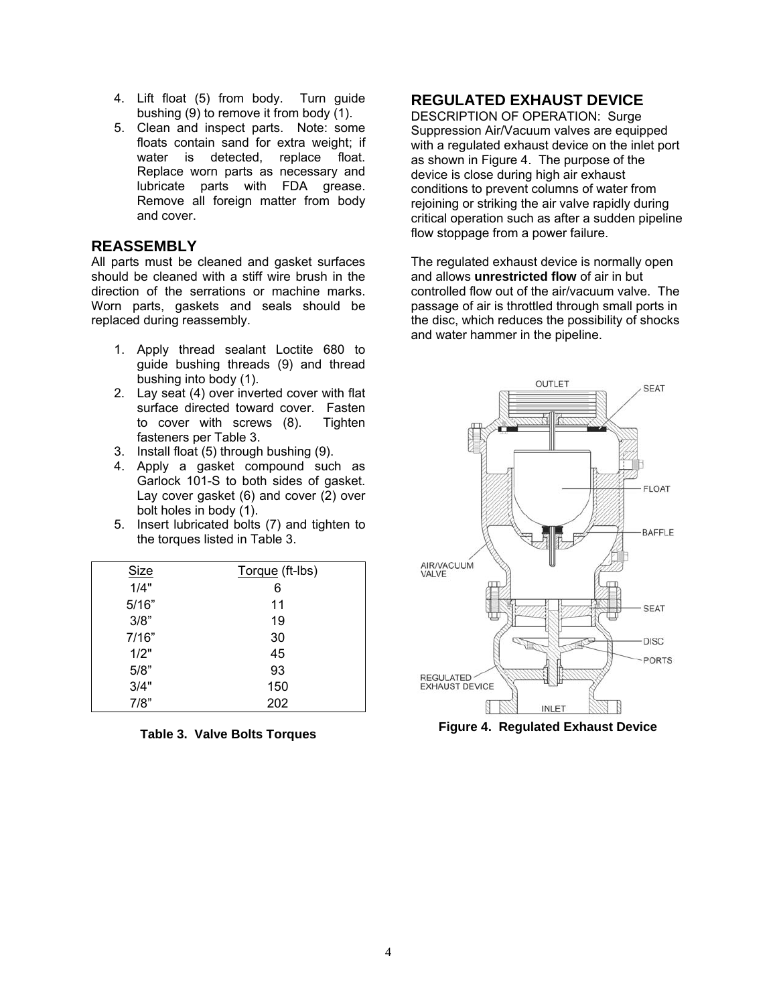- <span id="page-4-0"></span>4. Lift float (5) from body. Turn guide bushing (9) to remove it from body (1).
- 5. Clean and inspect parts. Note: some floats contain sand for extra weight; if water is detected, replace float. Replace worn parts as necessary and lubricate parts with FDA grease. Remove all foreign matter from body and cover.

#### **REASSEMBLY**

All parts must be cleaned and gasket surfaces should be cleaned with a stiff wire brush in the direction of the serrations or machine marks. Worn parts, gaskets and seals should be replaced during reassembly.

- 1. Apply thread sealant Loctite 680 to guide bushing threads (9) and thread bushing into body (1).
- 2. Lay seat (4) over inverted cover with flat surface directed toward cover. Fasten to cover with screws (8). Tighten fasteners per Table 3.
- 3. Install float (5) through bushing (9).
- 4. Apply a gasket compound such as Garlock 101-S to both sides of gasket. Lay cover gasket (6) and cover (2) over bolt holes in body (1).
- 5. Insert lubricated bolts (7) and tighten to the torques listed in Table 3.

| <b>Size</b> | Torque (ft-lbs) |
|-------------|-----------------|
| 1/4"        | 6               |
| 5/16"       | 11              |
| 3/8"        | 19              |
| 7/16"       | 30              |
| 1/2"        | 45              |
| 5/8"        | 93              |
| 3/4"        | 150             |
| 7/8"        | 202             |

**Table 3. Valve Bolts Torques** 

#### **REGULATED EXHAUST DEVICE**

DESCRIPTION OF OPERATION: Surge Suppression Air/Vacuum valves are equipped with a regulated exhaust device on the inlet port as shown in Figure 4. The purpose of the device is close during high air exhaust conditions to prevent columns of water from rejoining or striking the air valve rapidly during critical operation such as after a sudden pipeline flow stoppage from a power failure.

The regulated exhaust device is normally open and allows **unrestricted flow** of air in but controlled flow out of the air/vacuum valve. The passage of air is throttled through small ports in the disc, which reduces the possibility of shocks and water hammer in the pipeline.



**Figure 4. Regulated Exhaust Device**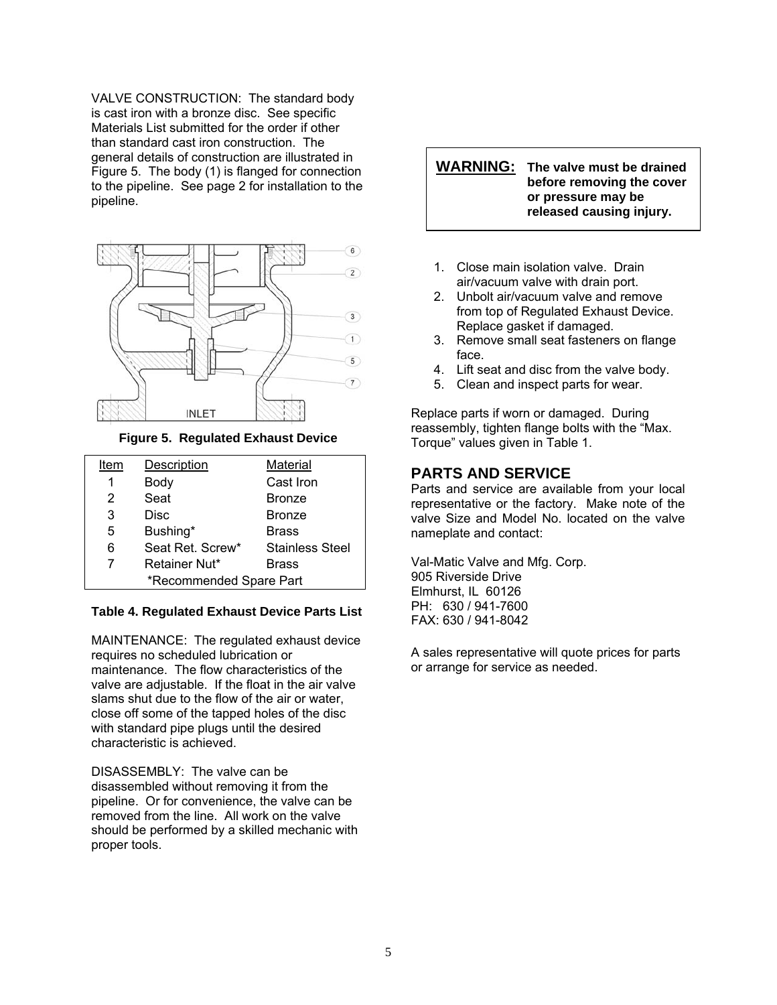<span id="page-5-0"></span>VALVE CONSTRUCTION: The standard body is cast iron with a bronze disc. See specific Materials List submitted for the order if other than standard cast iron construction. The general details of construction are illustrated in Figure 5. The body (1) is flanged for connection to the pipeline. See page 2 for installation to the pipeline.



**Figure 5. Regulated Exhaust Device** 

| Item                    | Description      | Material               |
|-------------------------|------------------|------------------------|
| 1                       | Body             | Cast Iron              |
| 2                       | Seat             | <b>Bronze</b>          |
| 3                       | Disc             | <b>Bronze</b>          |
| 5                       | Bushing*         | <b>Brass</b>           |
| 6                       | Seat Ret. Screw* | <b>Stainless Steel</b> |
| 7                       | Retainer Nut*    | <b>Brass</b>           |
| *Recommended Spare Part |                  |                        |

#### **Table 4. Regulated Exhaust Device Parts List**

MAINTENANCE: The regulated exhaust device requires no scheduled lubrication or maintenance. The flow characteristics of the valve are adjustable. If the float in the air valve slams shut due to the flow of the air or water, close off some of the tapped holes of the disc with standard pipe plugs until the desired characteristic is achieved.

DISASSEMBLY: The valve can be disassembled without removing it from the pipeline. Or for convenience, the valve can be removed from the line. All work on the valve should be performed by a skilled mechanic with proper tools.

**WARNING: The valve must be drained before removing the cover or pressure may be released causing injury.**

- 1. Close main isolation valve. Drain air/vacuum valve with drain port.
- 2. Unbolt air/vacuum valve and remove from top of Regulated Exhaust Device. Replace gasket if damaged.
- 3. Remove small seat fasteners on flange face.
- 4. Lift seat and disc from the valve body.
- 5. Clean and inspect parts for wear.

Replace parts if worn or damaged. During reassembly, tighten flange bolts with the "Max. Torque" values given in Table 1.

#### **PARTS AND SERVICE**

Parts and service are available from your local representative or the factory. Make note of the valve Size and Model No. located on the valve nameplate and contact:

Val-Matic Valve and Mfg. Corp. 905 Riverside Drive Elmhurst, IL 60126 PH: 630 / 941-7600 FAX: 630 / 941-8042

A sales representative will quote prices for parts or arrange for service as needed.